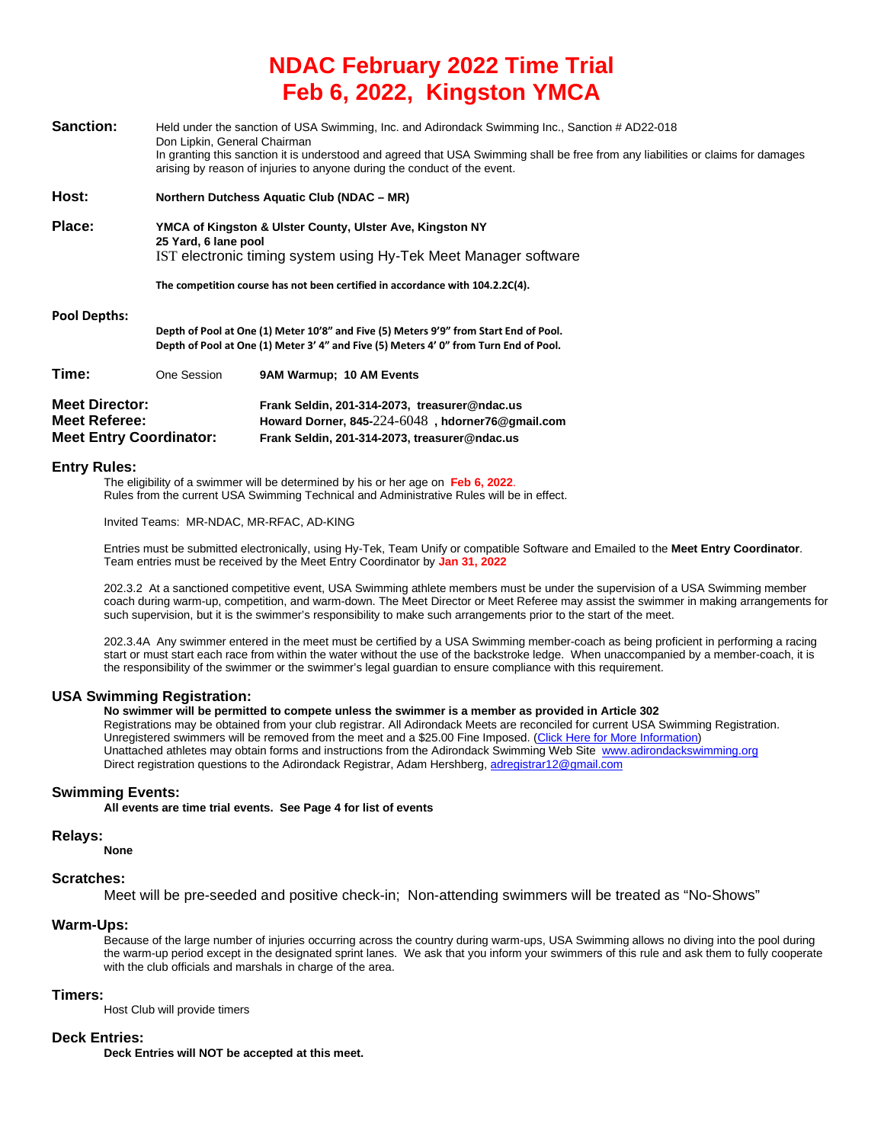# **NDAC February 2022 Time Trial Feb 6, 2022, Kingston YMCA**

| Sanction:                      | Don Lipkin, General Chairman                                                      | Held under the sanction of USA Swimming, Inc. and Adirondack Swimming Inc., Sanction # AD22-018                                                                                                              |  |  |
|--------------------------------|-----------------------------------------------------------------------------------|--------------------------------------------------------------------------------------------------------------------------------------------------------------------------------------------------------------|--|--|
|                                |                                                                                   | In granting this sanction it is understood and agreed that USA Swimming shall be free from any liabilities or claims for damages<br>arising by reason of injuries to anyone during the conduct of the event. |  |  |
| Host:                          |                                                                                   | Northern Dutchess Aquatic Club (NDAC - MR)                                                                                                                                                                   |  |  |
| Place:                         | YMCA of Kingston & Ulster County, Ulster Ave, Kingston NY<br>25 Yard, 6 lane pool |                                                                                                                                                                                                              |  |  |
|                                |                                                                                   | IST electronic timing system using Hy-Tek Meet Manager software                                                                                                                                              |  |  |
|                                |                                                                                   | The competition course has not been certified in accordance with 104.2.2C(4).                                                                                                                                |  |  |
| Pool Depths:                   |                                                                                   |                                                                                                                                                                                                              |  |  |
|                                |                                                                                   | Depth of Pool at One (1) Meter 10'8" and Five (5) Meters 9'9" from Start End of Pool.<br>Depth of Pool at One (1) Meter 3' 4" and Five (5) Meters 4' 0" from Turn End of Pool.                               |  |  |
| Time:                          | One Session                                                                       | 9AM Warmup; 10 AM Events                                                                                                                                                                                     |  |  |
| <b>Meet Director:</b>          |                                                                                   | Frank Seldin, 201-314-2073, treasurer@ndac.us                                                                                                                                                                |  |  |
| Meet Referee:                  |                                                                                   | Howard Dorner, 845-224-6048, hdorner76@gmail.com                                                                                                                                                             |  |  |
| <b>Meet Entry Coordinator:</b> |                                                                                   | Frank Seldin, 201-314-2073, treasurer@ndac.us                                                                                                                                                                |  |  |

#### **Entry Rules:**

The eligibility of a swimmer will be determined by his or her age on **Feb 6, 2022**. Rules from the current USA Swimming Technical and Administrative Rules will be in effect.

Invited Teams: MR-NDAC, MR-RFAC, AD-KING

Entries must be submitted electronically, using Hy-Tek, Team Unify or compatible Software and Emailed to the **Meet Entry Coordinator**. Team entries must be received by the Meet Entry Coordinator by **Jan 31, 2022**

202.3.2 At a sanctioned competitive event, USA Swimming athlete members must be under the supervision of a USA Swimming member coach during warm-up, competition, and warm-down. The Meet Director or Meet Referee may assist the swimmer in making arrangements for such supervision, but it is the swimmer's responsibility to make such arrangements prior to the start of the meet.

202.3.4A Any swimmer entered in the meet must be certified by a USA Swimming member-coach as being proficient in performing a racing start or must start each race from within the water without the use of the backstroke ledge. When unaccompanied by a member-coach, it is the responsibility of the swimmer or the swimmer's legal guardian to ensure compliance with this requirement.

#### **USA Swimming Registration:**

#### **No swimmer will be permitted to compete unless the swimmer is a member as provided in Article 302**

Registrations may be obtained from your club registrar. All Adirondack Meets are reconciled for current USA Swimming Registration. Unregistered swimmers will be removed from the meet and a \$25.00 Fine Imposed. (Click Here for More Information) Unattached athletes may obtain forms and instructions from the Adirondack Swimming Web Site [www.adirondackswimming.org](http://www.adirondackswimming.org/) Direct registration questions to the Adirondack Registrar, Adam Hershberg[, adregistrar12@gmail.com](mailto:adregistrar12@gmail.com)

#### **Swimming Events:**

**All events are time trial events. See Page 4 for list of events**

#### **Relays:**

**None**

#### **Scratches:**

Meet will be pre-seeded and positive check-in; Non-attending swimmers will be treated as "No-Shows"

#### **Warm-Ups:**

Because of the large number of injuries occurring across the country during warm-ups, USA Swimming allows no diving into the pool during the warm-up period except in the designated sprint lanes. We ask that you inform your swimmers of this rule and ask them to fully cooperate with the club officials and marshals in charge of the area.

#### **Timers:**

Host Club will provide timers

#### **Deck Entries:**

**Deck Entries will NOT be accepted at this meet.**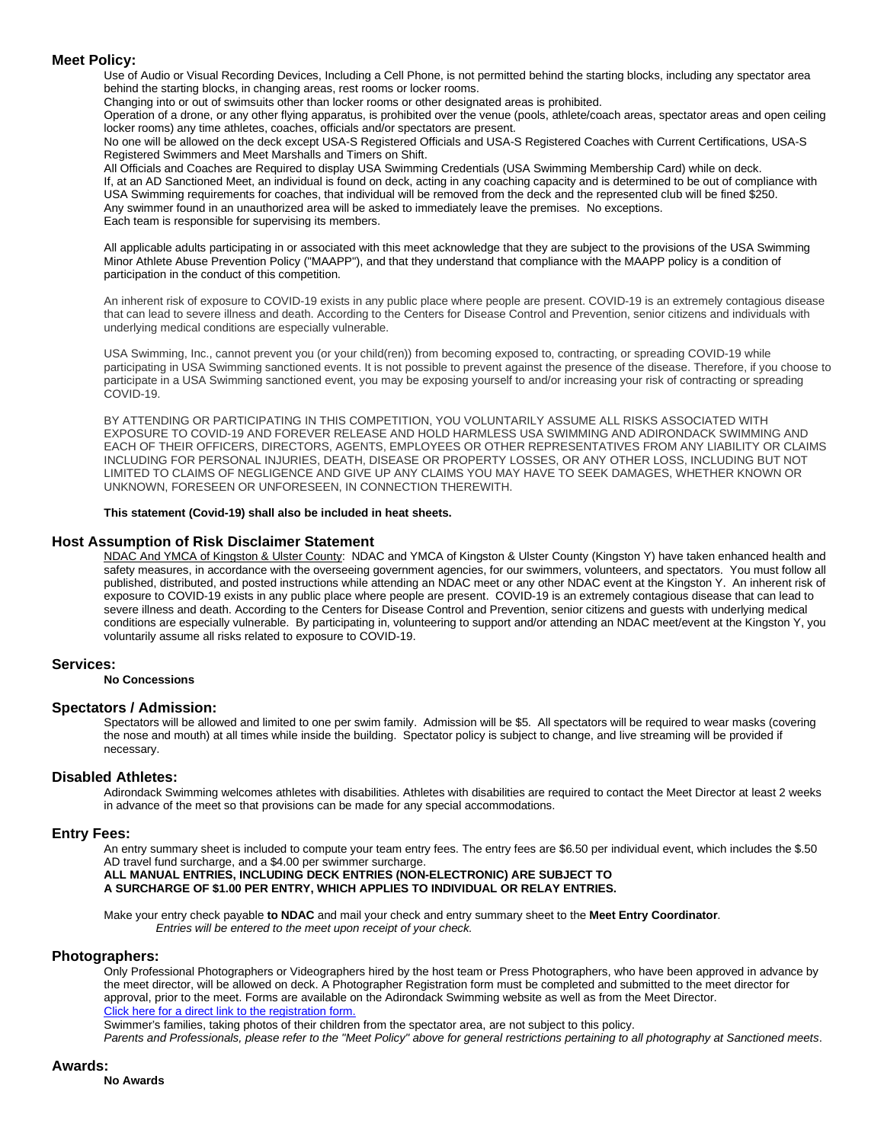#### **Meet Policy:**

Use of Audio or Visual Recording Devices, Including a Cell Phone, is not permitted behind the starting blocks, including any spectator area behind the starting blocks, in changing areas, rest rooms or locker rooms.

Changing into or out of swimsuits other than locker rooms or other designated areas is prohibited.

Operation of a drone, or any other flying apparatus, is prohibited over the venue (pools, athlete/coach areas, spectator areas and open ceiling locker rooms) any time athletes, coaches, officials and/or spectators are present.

No one will be allowed on the deck except USA-S Registered Officials and USA-S Registered Coaches with Current Certifications, USA-S Registered Swimmers and Meet Marshalls and Timers on Shift.

All Officials and Coaches are Required to display USA Swimming Credentials (USA Swimming Membership Card) while on deck. If, at an AD Sanctioned Meet, an individual is found on deck, acting in any coaching capacity and is determined to be out of compliance with USA Swimming requirements for coaches, that individual will be removed from the deck and the represented club will be fined \$250. Any swimmer found in an unauthorized area will be asked to immediately leave the premises. No exceptions. Each team is responsible for supervising its members.

All applicable adults participating in or associated with this meet acknowledge that they are subject to the provisions of the USA Swimming Minor Athlete Abuse Prevention Policy ("MAAPP"), and that they understand that compliance with the MAAPP policy is a condition of participation in the conduct of this competition.

An inherent risk of exposure to COVID-19 exists in any public place where people are present. COVID-19 is an extremely contagious disease that can lead to severe illness and death. According to the Centers for Disease Control and Prevention, senior citizens and individuals with underlying medical conditions are especially vulnerable.

USA Swimming, Inc., cannot prevent you (or your child(ren)) from becoming exposed to, contracting, or spreading COVID-19 while participating in USA Swimming sanctioned events. It is not possible to prevent against the presence of the disease. Therefore, if you choose to participate in a USA Swimming sanctioned event, you may be exposing yourself to and/or increasing your risk of contracting or spreading COVID-19.

BY ATTENDING OR PARTICIPATING IN THIS COMPETITION, YOU VOLUNTARILY ASSUME ALL RISKS ASSOCIATED WITH EXPOSURE TO COVID-19 AND FOREVER RELEASE AND HOLD HARMLESS USA SWIMMING AND ADIRONDACK SWIMMING AND EACH OF THEIR OFFICERS, DIRECTORS, AGENTS, EMPLOYEES OR OTHER REPRESENTATIVES FROM ANY LIABILITY OR CLAIMS INCLUDING FOR PERSONAL INJURIES, DEATH, DISEASE OR PROPERTY LOSSES, OR ANY OTHER LOSS, INCLUDING BUT NOT LIMITED TO CLAIMS OF NEGLIGENCE AND GIVE UP ANY CLAIMS YOU MAY HAVE TO SEEK DAMAGES, WHETHER KNOWN OR UNKNOWN, FORESEEN OR UNFORESEEN, IN CONNECTION THEREWITH.

**This statement (Covid-19) shall also be included in heat sheets.**

#### **Host Assumption of Risk Disclaimer Statement**

NDAC And YMCA of Kingston & Ulster County: NDAC and YMCA of Kingston & Ulster County (Kingston Y) have taken enhanced health and safety measures, in accordance with the overseeing government agencies, for our swimmers, volunteers, and spectators. You must follow all published, distributed, and posted instructions while attending an NDAC meet or any other NDAC event at the Kingston Y. An inherent risk of exposure to COVID-19 exists in any public place where people are present. COVID-19 is an extremely contagious disease that can lead to severe illness and death. According to the Centers for Disease Control and Prevention, senior citizens and guests with underlying medical conditions are especially vulnerable. By participating in, volunteering to support and/or attending an NDAC meet/event at the Kingston Y, you voluntarily assume all risks related to exposure to COVID-19.

#### **Services:**

**No Concessions**

#### **Spectators / Admission:**

Spectators will be allowed and limited to one per swim family. Admission will be \$5. All spectators will be required to wear masks (covering the nose and mouth) at all times while inside the building. Spectator policy is subject to change, and live streaming will be provided if necessary.

#### **Disabled Athletes:**

Adirondack Swimming welcomes athletes with disabilities. Athletes with disabilities are required to contact the Meet Director at least 2 weeks in advance of the meet so that provisions can be made for any special accommodations.

#### **Entry Fees:**

An entry summary sheet is included to compute your team entry fees. The entry fees are \$6.50 per individual event, which includes the \$.50 AD travel fund surcharge, and a \$4.00 per swimmer surcharge.

**ALL MANUAL ENTRIES, INCLUDING DECK ENTRIES (NON-ELECTRONIC) ARE SUBJECT TO A SURCHARGE OF \$1.00 PER ENTRY, WHICH APPLIES TO INDIVIDUAL OR RELAY ENTRIES.**

Make your entry check payable **to NDAC** and mail your check and entry summary sheet to the **Meet Entry Coordinator**. *Entries will be entered to the meet upon receipt of your check.*

#### **Photographers:**

Only Professional Photographers or Videographers hired by the host team or Press Photographers, who have been approved in advance by the meet director, will be allowed on deck. A Photographer Registration form must be completed and submitted to the meet director for approval, prior to the meet. Forms are available on the Adirondack Swimming website as well as from the Meet Director. Click here for a direct link to the registration form.

Swimmer's families, taking photos of their children from the spectator area, are not subject to this policy.

*Parents and Professionals, please refer to the "Meet Policy" above for general restrictions pertaining to all photography at Sanctioned meets*.

#### **Awards:**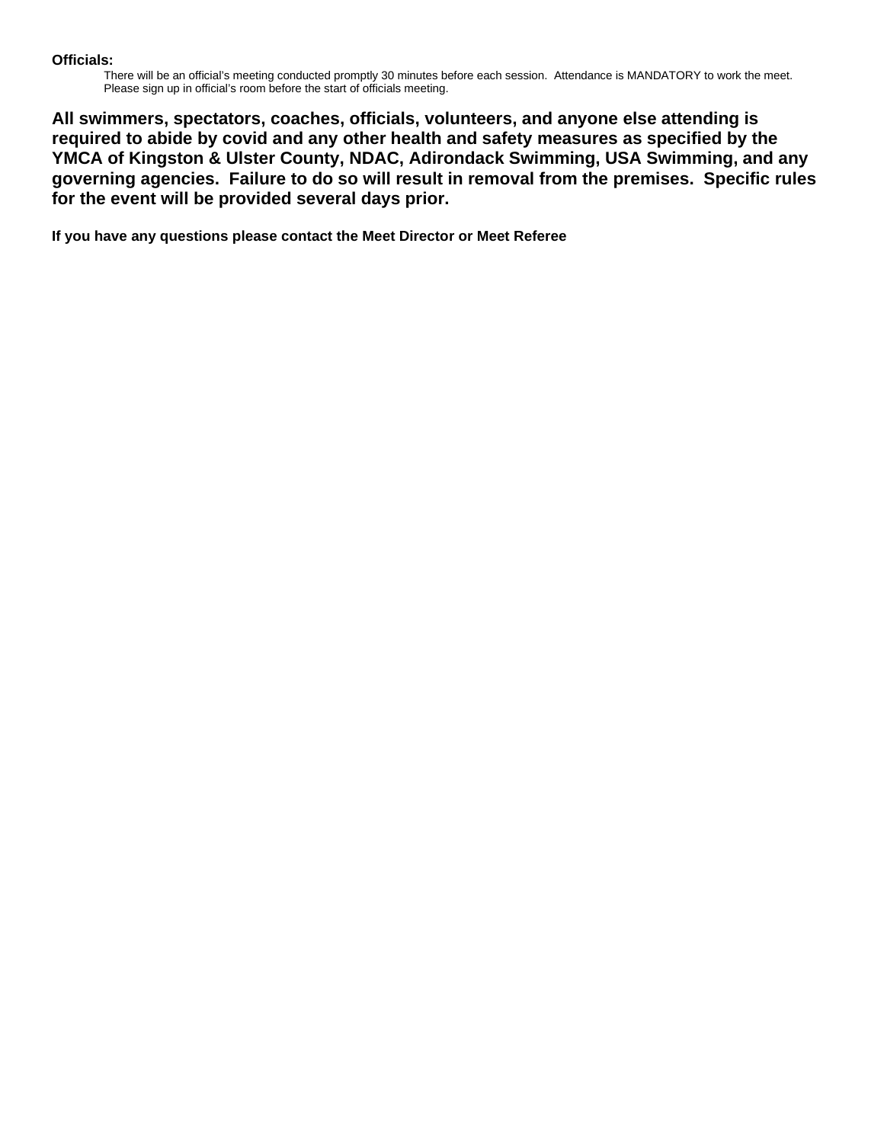#### **Officials:**

There will be an official's meeting conducted promptly 30 minutes before each session. Attendance is MANDATORY to work the meet. Please sign up in official's room before the start of officials meeting.

**All swimmers, spectators, coaches, officials, volunteers, and anyone else attending is required to abide by covid and any other health and safety measures as specified by the YMCA of Kingston & Ulster County, NDAC, Adirondack Swimming, USA Swimming, and any governing agencies. Failure to do so will result in removal from the premises. Specific rules for the event will be provided several days prior.**

**If you have any questions please contact the Meet Director or Meet Referee**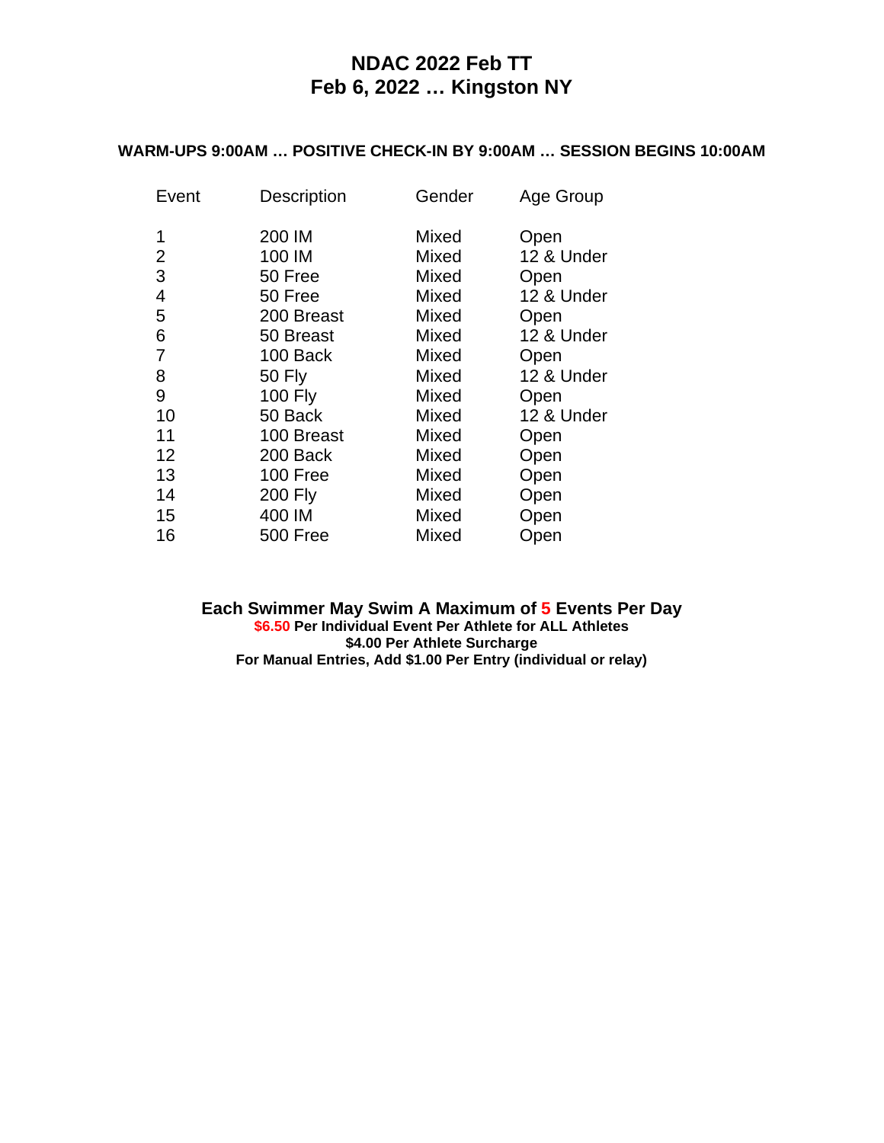### **NDAC 2022 Feb TT Feb 6, 2022 … Kingston NY**

#### **WARM-UPS 9:00AM … POSITIVE CHECK-IN BY 9:00AM … SESSION BEGINS 10:00AM**

| <b>Description</b> | Gender | Age Group  |
|--------------------|--------|------------|
| 200 IM             | Mixed  | Open       |
| 100 IM             | Mixed  | 12 & Under |
| 50 Free            | Mixed  | Open       |
| 50 Free            | Mixed  | 12 & Under |
| 200 Breast         | Mixed  | Open       |
| 50 Breast          | Mixed  | 12 & Under |
| 100 Back           | Mixed  | Open       |
| <b>50 Fly</b>      | Mixed  | 12 & Under |
| <b>100 Fly</b>     | Mixed  | Open       |
| 50 Back            | Mixed  | 12 & Under |
| 100 Breast         | Mixed  | Open       |
| 200 Back           | Mixed  | Open       |
| 100 Free           | Mixed  | Open       |
| <b>200 Fly</b>     | Mixed  | Open       |
| 400 IM             | Mixed  | Open       |
| <b>500 Free</b>    | Mixed  | Open       |
|                    |        |            |

**Each Swimmer May Swim A Maximum of 5 Events Per Day \$6.50 Per Individual Event Per Athlete for ALL Athletes \$4.00 Per Athlete Surcharge For Manual Entries, Add \$1.00 Per Entry (individual or relay)**